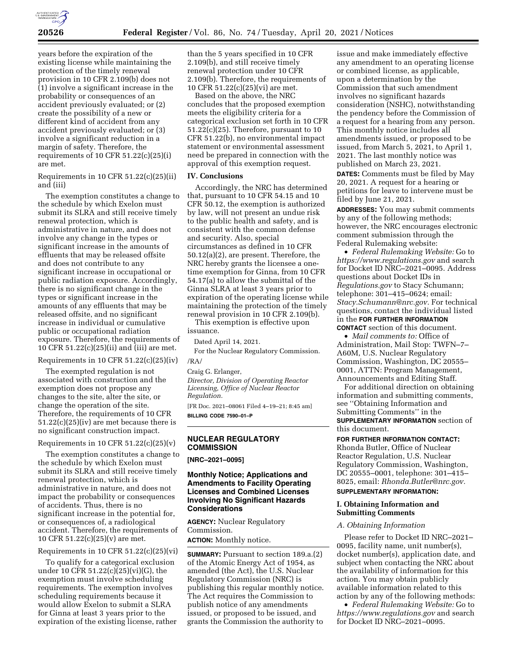

years before the expiration of the existing license while maintaining the protection of the timely renewal provision in 10 CFR 2.109(b) does not (1) involve a significant increase in the probability or consequences of an accident previously evaluated; or (2) create the possibility of a new or different kind of accident from any accident previously evaluated; or (3) involve a significant reduction in a margin of safety. Therefore, the requirements of 10 CFR 51.22(c)(25)(i) are met.

Requirements in 10 CFR 51.22(c)(25)(ii) and (iii)

The exemption constitutes a change to the schedule by which Exelon must submit its SLRA and still receive timely renewal protection, which is administrative in nature, and does not involve any change in the types or significant increase in the amounts of effluents that may be released offsite and does not contribute to any significant increase in occupational or public radiation exposure. Accordingly, there is no significant change in the types or significant increase in the amounts of any effluents that may be released offsite, and no significant increase in individual or cumulative public or occupational radiation exposure. Therefore, the requirements of 10 CFR 51.22(c)(25)(ii) and (iii) are met.

# Requirements in 10 CFR 51.22(c)(25)(iv)

The exempted regulation is not associated with construction and the exemption does not propose any changes to the site, alter the site, or change the operation of the site. Therefore, the requirements of 10 CFR 51.22(c)(25)(iv) are met because there is no significant construction impact.

#### Requirements in 10 CFR  $51.22(c)(25)(v)$

The exemption constitutes a change to the schedule by which Exelon must submit its SLRA and still receive timely renewal protection, which is administrative in nature, and does not impact the probability or consequences of accidents. Thus, there is no significant increase in the potential for, or consequences of, a radiological accident. Therefore, the requirements of 10 CFR 51.22(c)(25)(v) are met.

## Requirements in 10 CFR  $51.22(c)(25)(vi)$

To qualify for a categorical exclusion under 10 CFR 51.22(c) $(25)(vi)(G)$ , the exemption must involve scheduling requirements. The exemption involves scheduling requirements because it would allow Exelon to submit a SLRA for Ginna at least 3 years prior to the expiration of the existing license, rather than the 5 years specified in 10 CFR 2.109(b), and still receive timely renewal protection under 10 CFR 2.109(b). Therefore, the requirements of 10 CFR 51.22(c)(25)(vi) are met.

Based on the above, the NRC concludes that the proposed exemption meets the eligibility criteria for a categorical exclusion set forth in 10 CFR 51.22(c)(25). Therefore, pursuant to 10 CFR 51.22(b), no environmental impact statement or environmental assessment need be prepared in connection with the approval of this exemption request.

# **IV. Conclusions**

Accordingly, the NRC has determined that, pursuant to 10 CFR 54.15 and 10 CFR 50.12, the exemption is authorized by law, will not present an undue risk to the public health and safety, and is consistent with the common defense and security. Also, special circumstances as defined in 10 CFR 50.12(a)(2), are present. Therefore, the NRC hereby grants the licensee a onetime exemption for Ginna, from 10 CFR 54.17(a) to allow the submittal of the Ginna SLRA at least 3 years prior to expiration of the operating license while maintaining the protection of the timely renewal provision in 10 CFR 2.109(b).

This exemption is effective upon issuance.

Dated April 14, 2021.

For the Nuclear Regulatory Commission.  $/RA/$ 

Craig G. Erlanger,

*Director, Division of Operating Reactor Licensing, Office of Nuclear Reactor Regulation.* 

[FR Doc. 2021–08061 Filed 4–19–21; 8:45 am] **BILLING CODE 7590–01–P** 

## **NUCLEAR REGULATORY COMMISSION**

**[NRC–2021–0095]** 

# **Monthly Notice; Applications and Amendments to Facility Operating Licenses and Combined Licenses Involving No Significant Hazards Considerations**

**AGENCY:** Nuclear Regulatory Commission. **ACTION:** Monthly notice.

**SUMMARY:** Pursuant to section 189.a.(2) of the Atomic Energy Act of 1954, as amended (the Act), the U.S. Nuclear Regulatory Commission (NRC) is publishing this regular monthly notice. The Act requires the Commission to publish notice of any amendments issued, or proposed to be issued, and grants the Commission the authority to

issue and make immediately effective any amendment to an operating license or combined license, as applicable, upon a determination by the Commission that such amendment involves no significant hazards consideration (NSHC), notwithstanding the pendency before the Commission of a request for a hearing from any person. This monthly notice includes all amendments issued, or proposed to be issued, from March 5, 2021, to April 1, 2021. The last monthly notice was published on March 23, 2021.

**DATES:** Comments must be filed by May 20, 2021. A request for a hearing or petitions for leave to intervene must be filed by June 21, 2021.

**ADDRESSES:** You may submit comments by any of the following methods; however, the NRC encourages electronic comment submission through the Federal Rulemaking website:

• *Federal Rulemaking Website:* Go to *<https://www.regulations.gov>* and search for Docket ID NRC–2021–0095. Address questions about Docket IDs in *Regulations.gov* to Stacy Schumann; telephone: 301–415–0624; email: *[Stacy.Schumann@nrc.gov.](mailto:Stacy.Schumann@nrc.gov)* For technical questions, contact the individual listed in the **FOR FURTHER INFORMATION CONTACT** section of this document.

• *Mail comments to:* Office of Administration, Mail Stop: TWFN–7– A60M, U.S. Nuclear Regulatory Commission, Washington, DC 20555– 0001, ATTN: Program Management, Announcements and Editing Staff.

For additional direction on obtaining information and submitting comments, see ''Obtaining Information and Submitting Comments'' in the **SUPPLEMENTARY INFORMATION** section of this document.

#### **FOR FURTHER INFORMATION CONTACT:**

Rhonda Butler, Office of Nuclear Reactor Regulation, U.S. Nuclear Regulatory Commission, Washington, DC 20555–0001, telephone: 301–415– 8025, email: *[Rhonda.Butler@nrc.gov.](mailto:Rhonda.Butler@nrc.gov)*  **SUPPLEMENTARY INFORMATION:** 

# **I. Obtaining Information and Submitting Comments**

#### *A. Obtaining Information*

Please refer to Docket ID NRC–2021– 0095, facility name, unit number(s), docket number(s), application date, and subject when contacting the NRC about the availability of information for this action. You may obtain publicly available information related to this action by any of the following methods:

• *Federal Rulemaking Website:* Go to *<https://www.regulations.gov>* and search for Docket ID NRC–2021–0095.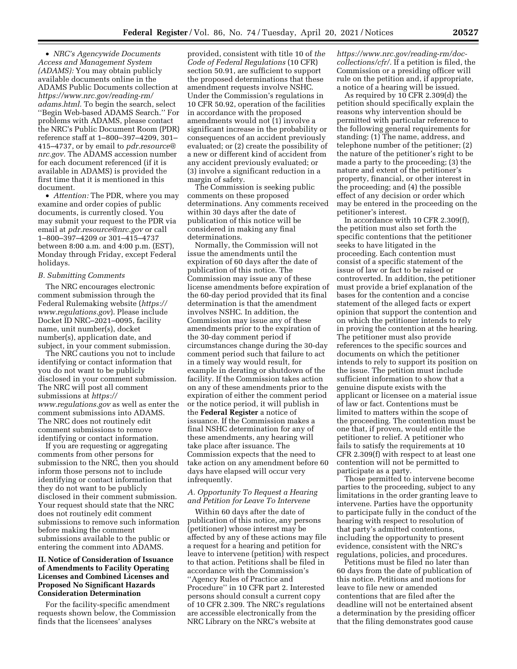• *NRC's Agencywide Documents Access and Management System (ADAMS):* You may obtain publicly available documents online in the ADAMS Public Documents collection at *[https://www.nrc.gov/reading-rm/](https://www.nrc.gov/reading-rm/adams.html)  [adams.html.](https://www.nrc.gov/reading-rm/adams.html)* To begin the search, select ''Begin Web-based ADAMS Search.'' For problems with ADAMS, please contact the NRC's Public Document Room (PDR) reference staff at 1–800–397–4209, 301– 415–4737, or by email to *[pdr.resource@](mailto:pdr.resource@nrc.gov) [nrc.gov.](mailto:pdr.resource@nrc.gov)* The ADAMS accession number for each document referenced (if it is available in ADAMS) is provided the first time that it is mentioned in this document.

• *Attention:* The PDR, where you may examine and order copies of public documents, is currently closed. You may submit your request to the PDR via email at *[pdr.resource@nrc.gov](mailto:pdr.resource@nrc.gov)* or call 1–800–397–4209 or 301–415–4737 between 8:00 a.m. and 4:00 p.m. (EST), Monday through Friday, except Federal holidays.

#### *B. Submitting Comments*

The NRC encourages electronic comment submission through the Federal Rulemaking website (*[https://](https://www.regulations.gov) [www.regulations.gov](https://www.regulations.gov)*). Please include Docket ID NRC–2021–0095, facility name, unit number(s), docket number(s), application date, and subject, in your comment submission.

The NRC cautions you not to include identifying or contact information that you do not want to be publicly disclosed in your comment submission. The NRC will post all comment submissions at *[https://](https://www.regulations.gov) [www.regulations.gov](https://www.regulations.gov)* as well as enter the comment submissions into ADAMS. The NRC does not routinely edit comment submissions to remove identifying or contact information.

If you are requesting or aggregating comments from other persons for submission to the NRC, then you should inform those persons not to include identifying or contact information that they do not want to be publicly disclosed in their comment submission. Your request should state that the NRC does not routinely edit comment submissions to remove such information before making the comment submissions available to the public or entering the comment into ADAMS.

# **II. Notice of Consideration of Issuance of Amendments to Facility Operating Licenses and Combined Licenses and Proposed No Significant Hazards Consideration Determination**

For the facility-specific amendment requests shown below, the Commission finds that the licensees' analyses

provided, consistent with title 10 of *the Code of Federal Regulations* (10 CFR) section 50.91, are sufficient to support the proposed determinations that these amendment requests involve NSHC. Under the Commission's regulations in 10 CFR 50.92, operation of the facilities in accordance with the proposed amendments would not (1) involve a significant increase in the probability or consequences of an accident previously evaluated; or (2) create the possibility of a new or different kind of accident from any accident previously evaluated; or (3) involve a significant reduction in a margin of safety.

The Commission is seeking public comments on these proposed determinations. Any comments received within 30 days after the date of publication of this notice will be considered in making any final determinations.

Normally, the Commission will not issue the amendments until the expiration of 60 days after the date of publication of this notice. The Commission may issue any of these license amendments before expiration of the 60-day period provided that its final determination is that the amendment involves NSHC. In addition, the Commission may issue any of these amendments prior to the expiration of the 30-day comment period if circumstances change during the 30-day comment period such that failure to act in a timely way would result, for example in derating or shutdown of the facility. If the Commission takes action on any of these amendments prior to the expiration of either the comment period or the notice period, it will publish in the **Federal Register** a notice of issuance. If the Commission makes a final NSHC determination for any of these amendments, any hearing will take place after issuance. The Commission expects that the need to take action on any amendment before 60 days have elapsed will occur very infrequently.

## *A. Opportunity To Request a Hearing and Petition for Leave To Intervene*

Within 60 days after the date of publication of this notice, any persons (petitioner) whose interest may be affected by any of these actions may file a request for a hearing and petition for leave to intervene (petition) with respect to that action. Petitions shall be filed in accordance with the Commission's ''Agency Rules of Practice and Procedure'' in 10 CFR part 2. Interested persons should consult a current copy of 10 CFR 2.309. The NRC's regulations are accessible electronically from the NRC Library on the NRC's website at

*[https://www.nrc.gov/reading-rm/doc](https://www.nrc.gov/reading-rm/doc-collections/cfr/)[collections/cfr/.](https://www.nrc.gov/reading-rm/doc-collections/cfr/)* If a petition is filed, the Commission or a presiding officer will rule on the petition and, if appropriate, a notice of a hearing will be issued.

As required by 10 CFR 2.309(d) the petition should specifically explain the reasons why intervention should be permitted with particular reference to the following general requirements for standing: (1) The name, address, and telephone number of the petitioner; (2) the nature of the petitioner's right to be made a party to the proceeding; (3) the nature and extent of the petitioner's property, financial, or other interest in the proceeding; and (4) the possible effect of any decision or order which may be entered in the proceeding on the petitioner's interest.

In accordance with 10 CFR 2.309(f), the petition must also set forth the specific contentions that the petitioner seeks to have litigated in the proceeding. Each contention must consist of a specific statement of the issue of law or fact to be raised or controverted. In addition, the petitioner must provide a brief explanation of the bases for the contention and a concise statement of the alleged facts or expert opinion that support the contention and on which the petitioner intends to rely in proving the contention at the hearing. The petitioner must also provide references to the specific sources and documents on which the petitioner intends to rely to support its position on the issue. The petition must include sufficient information to show that a genuine dispute exists with the applicant or licensee on a material issue of law or fact. Contentions must be limited to matters within the scope of the proceeding. The contention must be one that, if proven, would entitle the petitioner to relief. A petitioner who fails to satisfy the requirements at 10 CFR 2.309(f) with respect to at least one contention will not be permitted to participate as a party.

Those permitted to intervene become parties to the proceeding, subject to any limitations in the order granting leave to intervene. Parties have the opportunity to participate fully in the conduct of the hearing with respect to resolution of that party's admitted contentions, including the opportunity to present evidence, consistent with the NRC's regulations, policies, and procedures.

Petitions must be filed no later than 60 days from the date of publication of this notice. Petitions and motions for leave to file new or amended contentions that are filed after the deadline will not be entertained absent a determination by the presiding officer that the filing demonstrates good cause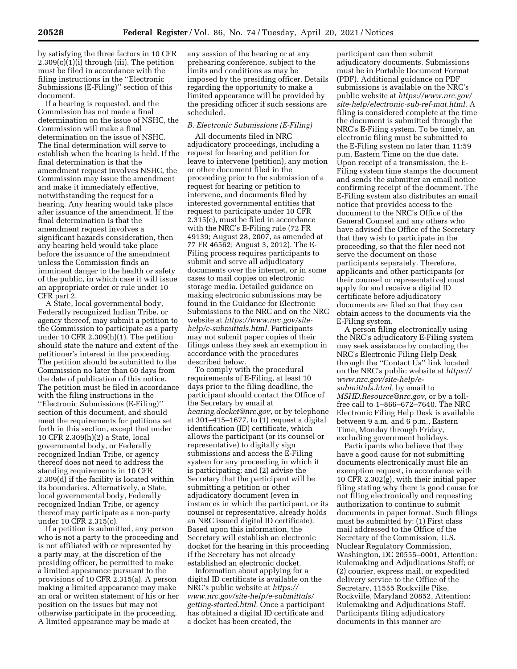by satisfying the three factors in 10 CFR 2.309(c)(1)(i) through (iii). The petition must be filed in accordance with the filing instructions in the ''Electronic Submissions (E-Filing)'' section of this document.

If a hearing is requested, and the Commission has not made a final determination on the issue of NSHC, the Commission will make a final determination on the issue of NSHC. The final determination will serve to establish when the hearing is held. If the final determination is that the amendment request involves NSHC, the Commission may issue the amendment and make it immediately effective, notwithstanding the request for a hearing. Any hearing would take place after issuance of the amendment. If the final determination is that the amendment request involves a significant hazards consideration, then any hearing held would take place before the issuance of the amendment unless the Commission finds an imminent danger to the health or safety of the public, in which case it will issue an appropriate order or rule under 10 CFR part 2.

A State, local governmental body, Federally recognized Indian Tribe, or agency thereof, may submit a petition to the Commission to participate as a party under 10 CFR 2.309(h)(1). The petition should state the nature and extent of the petitioner's interest in the proceeding. The petition should be submitted to the Commission no later than 60 days from the date of publication of this notice. The petition must be filed in accordance with the filing instructions in the ''Electronic Submissions (E-Filing)'' section of this document, and should meet the requirements for petitions set forth in this section, except that under 10 CFR 2.309(h)(2) a State, local governmental body, or Federally recognized Indian Tribe, or agency thereof does not need to address the standing requirements in 10 CFR 2.309(d) if the facility is located within its boundaries. Alternatively, a State, local governmental body, Federally recognized Indian Tribe, or agency thereof may participate as a non-party under 10 CFR 2.315(c).

If a petition is submitted, any person who is not a party to the proceeding and is not affiliated with or represented by a party may, at the discretion of the presiding officer, be permitted to make a limited appearance pursuant to the provisions of 10 CFR 2.315(a). A person making a limited appearance may make an oral or written statement of his or her position on the issues but may not otherwise participate in the proceeding. A limited appearance may be made at

any session of the hearing or at any prehearing conference, subject to the limits and conditions as may be imposed by the presiding officer. Details regarding the opportunity to make a limited appearance will be provided by the presiding officer if such sessions are scheduled.

#### *B. Electronic Submissions (E-Filing)*

All documents filed in NRC adjudicatory proceedings, including a request for hearing and petition for leave to intervene (petition), any motion or other document filed in the proceeding prior to the submission of a request for hearing or petition to intervene, and documents filed by interested governmental entities that request to participate under 10 CFR 2.315(c), must be filed in accordance with the NRC's E-Filing rule (72 FR 49139; August 28, 2007, as amended at 77 FR 46562; August 3, 2012). The E-Filing process requires participants to submit and serve all adjudicatory documents over the internet, or in some cases to mail copies on electronic storage media. Detailed guidance on making electronic submissions may be found in the Guidance for Electronic Submissions to the NRC and on the NRC website at *[https://www.nrc.gov/site](https://www.nrc.gov/site-help/e-submittals.html)[help/e-submittals.html.](https://www.nrc.gov/site-help/e-submittals.html)* Participants may not submit paper copies of their filings unless they seek an exemption in accordance with the procedures described below.

To comply with the procedural requirements of E-Filing, at least 10 days prior to the filing deadline, the participant should contact the Office of the Secretary by email at *[hearing.docket@nrc.gov](mailto:hearing.docket@nrc.gov)*, or by telephone at 301–415–1677, to (1) request a digital identification (ID) certificate, which allows the participant (or its counsel or representative) to digitally sign submissions and access the E-Filing system for any proceeding in which it is participating; and (2) advise the Secretary that the participant will be submitting a petition or other adjudicatory document (even in instances in which the participant, or its counsel or representative, already holds an NRC issued digital ID certificate). Based upon this information, the Secretary will establish an electronic docket for the hearing in this proceeding if the Secretary has not already established an electronic docket.

Information about applying for a digital ID certificate is available on the NRC's public website at *[https://](https://www.nrc.gov/site-help/e-submittals/getting-started.html) [www.nrc.gov/site-help/e-submittals/](https://www.nrc.gov/site-help/e-submittals/getting-started.html)  [getting-started.html.](https://www.nrc.gov/site-help/e-submittals/getting-started.html)* Once a participant has obtained a digital ID certificate and a docket has been created, the

participant can then submit adjudicatory documents. Submissions must be in Portable Document Format (PDF). Additional guidance on PDF submissions is available on the NRC's public website at *[https://www.nrc.gov/](https://www.nrc.gov/site-help/electronic-sub-ref-mat.html) [site-help/electronic-sub-ref-mat.html.](https://www.nrc.gov/site-help/electronic-sub-ref-mat.html)* A filing is considered complete at the time the document is submitted through the NRC's E-Filing system. To be timely, an electronic filing must be submitted to the E-Filing system no later than 11:59 p.m. Eastern Time on the due date. Upon receipt of a transmission, the E-Filing system time stamps the document and sends the submitter an email notice confirming receipt of the document. The E-Filing system also distributes an email notice that provides access to the document to the NRC's Office of the General Counsel and any others who have advised the Office of the Secretary that they wish to participate in the proceeding, so that the filer need not serve the document on those participants separately. Therefore, applicants and other participants (or their counsel or representative) must apply for and receive a digital ID certificate before adjudicatory documents are filed so that they can obtain access to the documents via the E-Filing system.

A person filing electronically using the NRC's adjudicatory E-Filing system may seek assistance by contacting the NRC's Electronic Filing Help Desk through the ''Contact Us'' link located on the NRC's public website at *[https://](https://www.nrc.gov/site-help/e-submittals.html)  [www.nrc.gov/site-help/e](https://www.nrc.gov/site-help/e-submittals.html)[submittals.html,](https://www.nrc.gov/site-help/e-submittals.html)* by email to *[MSHD.Resource@nrc.gov](mailto:MSHD.Resource@nrc.gov)*, or by a tollfree call to 1–866–672–7640. The NRC Electronic Filing Help Desk is available between 9 a.m. and 6 p.m., Eastern Time, Monday through Friday, excluding government holidays.

Participants who believe that they have a good cause for not submitting documents electronically must file an exemption request, in accordance with 10 CFR 2.302(g), with their initial paper filing stating why there is good cause for not filing electronically and requesting authorization to continue to submit documents in paper format. Such filings must be submitted by: (1) First class mail addressed to the Office of the Secretary of the Commission, U.S. Nuclear Regulatory Commission, Washington, DC 20555–0001, Attention: Rulemaking and Adjudications Staff; or (2) courier, express mail, or expedited delivery service to the Office of the Secretary, 11555 Rockville Pike, Rockville, Maryland 20852, Attention: Rulemaking and Adjudications Staff. Participants filing adjudicatory documents in this manner are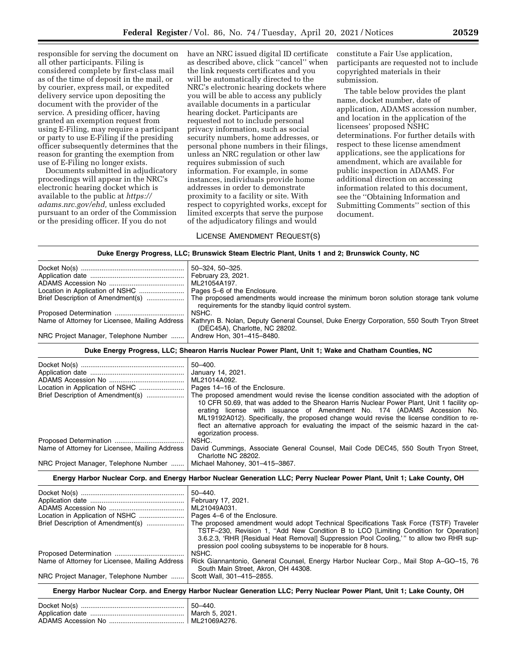responsible for serving the document on all other participants. Filing is considered complete by first-class mail as of the time of deposit in the mail, or by courier, express mail, or expedited delivery service upon depositing the document with the provider of the service. A presiding officer, having granted an exemption request from using E-Filing, may require a participant or party to use E-Filing if the presiding officer subsequently determines that the reason for granting the exemption from use of E-Filing no longer exists.

Documents submitted in adjudicatory proceedings will appear in the NRC's electronic hearing docket which is available to the public at *[https://](https://adams.nrc.gov/ehd) [adams.nrc.gov/ehd,](https://adams.nrc.gov/ehd)* unless excluded pursuant to an order of the Commission or the presiding officer. If you do not

have an NRC issued digital ID certificate as described above, click ''cancel'' when the link requests certificates and you will be automatically directed to the NRC's electronic hearing dockets where you will be able to access any publicly available documents in a particular hearing docket. Participants are requested not to include personal privacy information, such as social security numbers, home addresses, or personal phone numbers in their filings, unless an NRC regulation or other law requires submission of such information. For example, in some instances, individuals provide home addresses in order to demonstrate proximity to a facility or site. With respect to copyrighted works, except for limited excerpts that serve the purpose of the adjudicatory filings and would

# LICENSE AMENDMENT REQUEST(S)

**Duke Energy Progress, LLC; Brunswick Steam Electric Plant, Units 1 and 2; Brunswick County, NC** 

constitute a Fair Use application, participants are requested not to include copyrighted materials in their submission.

The table below provides the plant name, docket number, date of application, ADAMS accession number, and location in the application of the licensees' proposed NSHC determinations. For further details with respect to these license amendment applications, see the applications for amendment, which are available for public inspection in ADAMS. For additional direction on accessing information related to this document, see the ''Obtaining Information and Submitting Comments'' section of this document.

|                                                | $50 - 324.50 - 325.$                                                                                                                                                                                                                                                                      |
|------------------------------------------------|-------------------------------------------------------------------------------------------------------------------------------------------------------------------------------------------------------------------------------------------------------------------------------------------|
|                                                | February 23, 2021.                                                                                                                                                                                                                                                                        |
|                                                | ML21054A197.                                                                                                                                                                                                                                                                              |
|                                                | Pages 5–6 of the Enclosure.                                                                                                                                                                                                                                                               |
| Brief Description of Amendment(s)              | The proposed amendments would increase the minimum boron solution storage tank volume<br>requirements for the standby liquid control system.                                                                                                                                              |
|                                                | NSHC.                                                                                                                                                                                                                                                                                     |
| Name of Attorney for Licensee, Mailing Address | Kathryn B. Nolan, Deputy General Counsel, Duke Energy Corporation, 550 South Tryon Street<br>(DEC45A), Charlotte, NC 28202.                                                                                                                                                               |
| NRC Project Manager, Telephone Number          | Andrew Hon, 301-415-8480.                                                                                                                                                                                                                                                                 |
|                                                | Duke Energy Progress, LLC; Shearon Harris Nuclear Power Plant, Unit 1; Wake and Chatham Counties, NC                                                                                                                                                                                      |
|                                                | $50 - 400.$                                                                                                                                                                                                                                                                               |
|                                                | January 14, 2021.                                                                                                                                                                                                                                                                         |
|                                                | ML21014A092.                                                                                                                                                                                                                                                                              |
|                                                | Pages 14-16 of the Enclosure.                                                                                                                                                                                                                                                             |
| Brief Description of Amendment(s)              | The proposed amendment would revise the license condition associated with the adoption of<br>10 CFR 50.69, that was added to the Shearon Harris Nuclear Power Plant, Unit 1 facility op-                                                                                                  |
|                                                | erating license with issuance of Amendment No. 174 (ADAMS Accession No.<br>ML19192A012). Specifically, the proposed change would revise the license condition to re-<br>flect an alternative approach for evaluating the impact of the seismic hazard in the cat-<br>egorization process. |

Name of Attorney for Licensee, Mailing Address | David Cummings, Associate General Counsel, Mail Code DEC45, 550 South Tryon Street, Charlotte NC 28202. NRC Project Manager, Telephone Number ....... | Michael Mahoney, 301-415-3867.

**Energy Harbor Nuclear Corp. and Energy Harbor Nuclear Generation LLC; Perry Nuclear Power Plant, Unit 1; Lake County, OH** 

|                                                | 50–440.<br>February 17, 2021.<br>ML21049A031.                                                                                                                                                                                                                                                                                               |
|------------------------------------------------|---------------------------------------------------------------------------------------------------------------------------------------------------------------------------------------------------------------------------------------------------------------------------------------------------------------------------------------------|
|                                                | Pages 4–6 of the Enclosure.                                                                                                                                                                                                                                                                                                                 |
| Brief Description of Amendment(s)              | The proposed amendment would adopt Technical Specifications Task Force (TSTF) Traveler<br>TSTF-230, Revision 1, "Add New Condition B to LCO [Limiting Condition for Operation]<br>3.6.2.3, 'RHR [Residual Heat Removal] Suppression Pool Cooling,'" to allow two RHR sup-<br>pression pool cooling subsystems to be inoperable for 8 hours. |
|                                                | NSHC.                                                                                                                                                                                                                                                                                                                                       |
| Name of Attorney for Licensee, Mailing Address | Rick Giannantonio, General Counsel, Energy Harbor Nuclear Corp., Mail Stop A-GO-15, 76<br>South Main Street, Akron, OH 44308.                                                                                                                                                                                                               |
| NRC Project Manager, Telephone Number          | Scott Wall, 301-415-2855.                                                                                                                                                                                                                                                                                                                   |

## **Energy Harbor Nuclear Corp. and Energy Harbor Nuclear Generation LLC; Perry Nuclear Power Plant, Unit 1; Lake County, OH**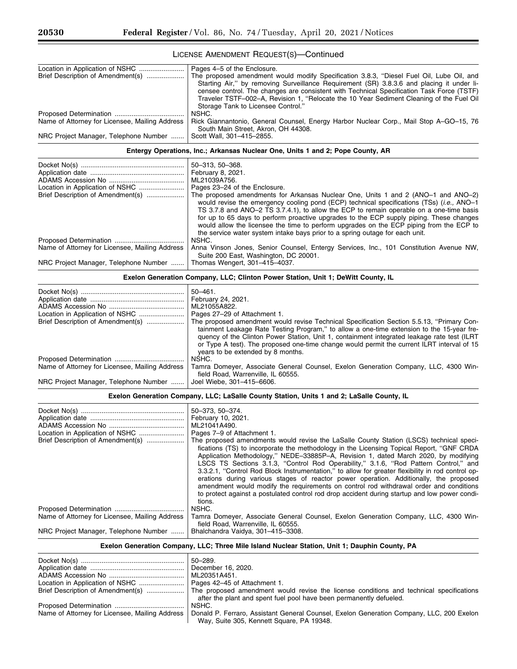# LICENSE AMENDMENT REQUEST(S)—Continued

|                                                | Pages 4–5 of the Enclosure.                                                                                                   |
|------------------------------------------------|-------------------------------------------------------------------------------------------------------------------------------|
| Brief Description of Amendment(s)              | The proposed amendment would modify Specification 3.8.3, "Diesel Fuel Oil, Lube Oil, and                                      |
|                                                | Starting Air," by removing Surveillance Requirement (SR) 3.8.3.6 and placing it under li-                                     |
|                                                | censee control. The changes are consistent with Technical Specification Task Force (TSTF)                                     |
|                                                | Traveler TSTF-002-A, Revision 1, "Relocate the 10 Year Sediment Cleaning of the Fuel Oil                                      |
|                                                | Storage Tank to Licensee Control."                                                                                            |
|                                                | NSHC.                                                                                                                         |
| Name of Attorney for Licensee, Mailing Address | Rick Giannantonio, General Counsel, Energy Harbor Nuclear Corp., Mail Stop A-GO-15, 76<br>South Main Street, Akron, OH 44308. |
| NRC Project Manager, Telephone Number          | Scott Wall, 301-415-2855.                                                                                                     |

# **Entergy Operations, Inc.; Arkansas Nuclear One, Units 1 and 2; Pope County, AR**

|                                                | $50 - 313$ , $50 - 368$ .<br>February 8, 2021.<br>ML21039A756.                                                                                                                                                                                                                                                                                                                                                                                                                                                                                           |
|------------------------------------------------|----------------------------------------------------------------------------------------------------------------------------------------------------------------------------------------------------------------------------------------------------------------------------------------------------------------------------------------------------------------------------------------------------------------------------------------------------------------------------------------------------------------------------------------------------------|
|                                                | Pages 23–24 of the Enclosure.                                                                                                                                                                                                                                                                                                                                                                                                                                                                                                                            |
| Brief Description of Amendment(s)              | The proposed amendments for Arkansas Nuclear One, Units 1 and 2 (ANO-1 and ANO-2)<br>would revise the emergency cooling pond (ECP) technical specifications (TSs) ( <i>i.e.</i> , ANO-1<br>TS 3.7.8 and ANO-2 TS 3.7.4.1), to allow the ECP to remain operable on a one-time basis<br>for up to 65 days to perform proactive upgrades to the ECP supply piping. These changes<br>would allow the licensee the time to perform upgrades on the ECP piping from the ECP to<br>the service water system intake bays prior to a spring outage for each unit. |
|                                                | NSHC.                                                                                                                                                                                                                                                                                                                                                                                                                                                                                                                                                    |
| Name of Attorney for Licensee, Mailing Address | Anna Vinson Jones, Senior Counsel, Entergy Services, Inc., 101 Constitution Avenue NW,<br>Suite 200 East, Washington, DC 20001.                                                                                                                                                                                                                                                                                                                                                                                                                          |
| NRC Project Manager, Telephone Number          | Thomas Wengert, 301-415-4037.                                                                                                                                                                                                                                                                                                                                                                                                                                                                                                                            |

# **Exelon Generation Company, LLC; Clinton Power Station, Unit 1; DeWitt County, IL**

|                                                | $50 - 461$ .                                                                                                                                                                                                                                                                                                                                                                        |
|------------------------------------------------|-------------------------------------------------------------------------------------------------------------------------------------------------------------------------------------------------------------------------------------------------------------------------------------------------------------------------------------------------------------------------------------|
|                                                | February 24, 2021.                                                                                                                                                                                                                                                                                                                                                                  |
|                                                | ML21055A822.                                                                                                                                                                                                                                                                                                                                                                        |
|                                                | Pages 27-29 of Attachment 1.                                                                                                                                                                                                                                                                                                                                                        |
| Brief Description of Amendment(s)              | The proposed amendment would revise Technical Specification Section 5.5.13, "Primary Con-<br>tainment Leakage Rate Testing Program," to allow a one-time extension to the 15-year fre-<br>quency of the Clinton Power Station, Unit 1, containment integrated leakage rate test (ILRT<br>or Type A test). The proposed one-time change would permit the current ILRT interval of 15 |
|                                                | years to be extended by 8 months.<br>NSHC.                                                                                                                                                                                                                                                                                                                                          |
|                                                |                                                                                                                                                                                                                                                                                                                                                                                     |
| Name of Attorney for Licensee, Mailing Address | Tamra Domeyer, Associate General Counsel, Exelon Generation Company, LLC, 4300 Win-<br>field Road, Warrenville, IL 60555.                                                                                                                                                                                                                                                           |
| NRC Project Manager, Telephone Number          | Joel Wiebe, 301-415-6606.                                                                                                                                                                                                                                                                                                                                                           |

# **Exelon Generation Company, LLC; LaSalle County Station, Units 1 and 2; LaSalle County, IL**

| Brief Description of Amendment(s)              | 50-373, 50-374.<br>February 10, 2021.<br>ML21041A490.<br>Pages 7-9 of Attachment 1.<br>The proposed amendments would revise the LaSalle County Station (LSCS) technical speci-<br>fications (TS) to incorporate the methodology in the Licensing Topical Report, "GNF CRDA<br>Application Methodology," NEDE-33885P-A, Revision 1, dated March 2020, by modifying<br>LSCS TS Sections 3.1.3, "Control Rod Operability," 3.1.6, "Rod Pattern Control," and<br>3.3.2.1, "Control Rod Block Instrumentation," to allow for greater flexibility in rod control op-<br>erations during various stages of reactor power operation. Additionally, the proposed<br>amendment would modify the requirements on control rod withdrawal order and conditions<br>to protect against a postulated control rod drop accident during startup and low power condi-<br>tions. |
|------------------------------------------------|--------------------------------------------------------------------------------------------------------------------------------------------------------------------------------------------------------------------------------------------------------------------------------------------------------------------------------------------------------------------------------------------------------------------------------------------------------------------------------------------------------------------------------------------------------------------------------------------------------------------------------------------------------------------------------------------------------------------------------------------------------------------------------------------------------------------------------------------------------------|
|                                                | NSHC.                                                                                                                                                                                                                                                                                                                                                                                                                                                                                                                                                                                                                                                                                                                                                                                                                                                        |
| Name of Attorney for Licensee, Mailing Address | Tamra Domeyer, Associate General Counsel, Exelon Generation Company, LLC, 4300 Win-<br>field Road. Warrenville. IL 60555.                                                                                                                                                                                                                                                                                                                                                                                                                                                                                                                                                                                                                                                                                                                                    |
| NRC Project Manager, Telephone Number          | Bhalchandra Vaidya, 301-415-3308.                                                                                                                                                                                                                                                                                                                                                                                                                                                                                                                                                                                                                                                                                                                                                                                                                            |

# **Exelon Generation Company, LLC; Three Mile Island Nuclear Station, Unit 1; Dauphin County, PA**

|                                                                 | 50–289.                                                                                                                                   |
|-----------------------------------------------------------------|-------------------------------------------------------------------------------------------------------------------------------------------|
|                                                                 |                                                                                                                                           |
|                                                                 |                                                                                                                                           |
| Location in Application of NSHC    Pages 42–45 of Attachment 1. |                                                                                                                                           |
|                                                                 |                                                                                                                                           |
|                                                                 | after the plant and spent fuel pool have been permanently defueled.                                                                       |
|                                                                 | NSHC.                                                                                                                                     |
|                                                                 | Name of Attorney for Licensee, Mailing Address   Donald P. Ferraro, Assistant General Counsel, Exelon Generation Company, LLC, 200 Exelon |
|                                                                 | Way, Suite 305, Kennett Square, PA 19348.                                                                                                 |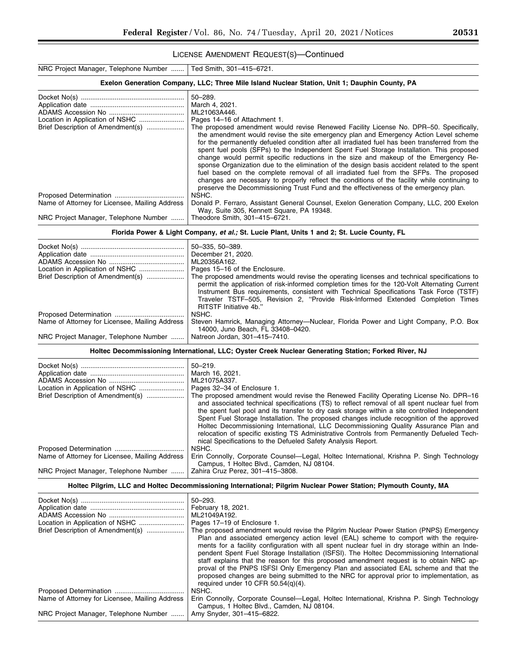# LICENSE AMENDMENT REQUEST(S)—Continued

| NRC Project Manager, Telephone Number                                                         | Ted Smith, 301-415-6721.                                                                                                                                                                                                                                                                                                                                                                                                                                                                                                                                                                                                                                                                                                                                                                                                                                       |  |
|-----------------------------------------------------------------------------------------------|----------------------------------------------------------------------------------------------------------------------------------------------------------------------------------------------------------------------------------------------------------------------------------------------------------------------------------------------------------------------------------------------------------------------------------------------------------------------------------------------------------------------------------------------------------------------------------------------------------------------------------------------------------------------------------------------------------------------------------------------------------------------------------------------------------------------------------------------------------------|--|
| Exelon Generation Company, LLC; Three Mile Island Nuclear Station, Unit 1; Dauphin County, PA |                                                                                                                                                                                                                                                                                                                                                                                                                                                                                                                                                                                                                                                                                                                                                                                                                                                                |  |
|                                                                                               | $50 - 289.$<br>March 4, 2021.                                                                                                                                                                                                                                                                                                                                                                                                                                                                                                                                                                                                                                                                                                                                                                                                                                  |  |
|                                                                                               | ML21063A446.                                                                                                                                                                                                                                                                                                                                                                                                                                                                                                                                                                                                                                                                                                                                                                                                                                                   |  |
| Location in Application of NSHC                                                               | Pages 14–16 of Attachment 1.                                                                                                                                                                                                                                                                                                                                                                                                                                                                                                                                                                                                                                                                                                                                                                                                                                   |  |
| Brief Description of Amendment(s)                                                             | The proposed amendment would revise Renewed Facility License No. DPR-50. Specifically,<br>the amendment would revise the site emergency plan and Emergency Action Level scheme<br>for the permanently defueled condition after all irradiated fuel has been transferred from the<br>spent fuel pools (SFPs) to the Independent Spent Fuel Storage Installation. This proposed<br>change would permit specific reductions in the size and makeup of the Emergency Re-<br>sponse Organization due to the elimination of the design basis accident related to the spent<br>fuel based on the complete removal of all irradiated fuel from the SFPs. The proposed<br>changes are necessary to properly reflect the conditions of the facility while continuing to<br>preserve the Decommissioning Trust Fund and the effectiveness of the emergency plan.<br>NSHC. |  |
| Name of Attorney for Licensee, Mailing Address                                                | Donald P. Ferraro, Assistant General Counsel, Exelon Generation Company, LLC, 200 Exelon<br>Way, Suite 305, Kennett Square, PA 19348.                                                                                                                                                                                                                                                                                                                                                                                                                                                                                                                                                                                                                                                                                                                          |  |
| NRC Project Manager, Telephone Number                                                         | Theodore Smith, 301-415-6721.                                                                                                                                                                                                                                                                                                                                                                                                                                                                                                                                                                                                                                                                                                                                                                                                                                  |  |
|                                                                                               | Florida Power & Light Company, et al.; St. Lucie Plant, Units 1 and 2; St. Lucie County, FL                                                                                                                                                                                                                                                                                                                                                                                                                                                                                                                                                                                                                                                                                                                                                                    |  |
|                                                                                               | 50-335, 50-389.<br>December 21, 2020.                                                                                                                                                                                                                                                                                                                                                                                                                                                                                                                                                                                                                                                                                                                                                                                                                          |  |
|                                                                                               | ML20356A162.                                                                                                                                                                                                                                                                                                                                                                                                                                                                                                                                                                                                                                                                                                                                                                                                                                                   |  |
| Location in Application of NSHC                                                               | Pages 15–16 of the Enclosure.                                                                                                                                                                                                                                                                                                                                                                                                                                                                                                                                                                                                                                                                                                                                                                                                                                  |  |
| Brief Description of Amendment(s)                                                             | The proposed amendments would revise the operating licenses and technical specifications to<br>permit the application of risk-informed completion times for the 120-Volt Alternating Current<br>Instrument Bus requirements, consistent with Technical Specifications Task Force (TSTF)<br>Traveler TSTF-505, Revision 2, "Provide Risk-Informed Extended Completion Times<br>RITSTF Initiative 4b."                                                                                                                                                                                                                                                                                                                                                                                                                                                           |  |
| Name of Attorney for Licensee, Mailing Address                                                | NSHC.<br>Steven Hamrick, Managing Attorney-Nuclear, Florida Power and Light Company, P.O. Box                                                                                                                                                                                                                                                                                                                                                                                                                                                                                                                                                                                                                                                                                                                                                                  |  |
| NRC Project Manager, Telephone Number                                                         | 14000, Juno Beach, FL 33408-0420.<br>Natreon Jordan, 301-415-7410.                                                                                                                                                                                                                                                                                                                                                                                                                                                                                                                                                                                                                                                                                                                                                                                             |  |
|                                                                                               | Holtec Decommissioning International, LLC; Oyster Creek Nuclear Generating Station; Forked River, NJ                                                                                                                                                                                                                                                                                                                                                                                                                                                                                                                                                                                                                                                                                                                                                           |  |
|                                                                                               | $50 - 219.$                                                                                                                                                                                                                                                                                                                                                                                                                                                                                                                                                                                                                                                                                                                                                                                                                                                    |  |
|                                                                                               | March 16, 2021.<br>ML21075A337.                                                                                                                                                                                                                                                                                                                                                                                                                                                                                                                                                                                                                                                                                                                                                                                                                                |  |
| Location in Application of NSHC<br>Brief Description of Amendment(s)                          | Pages 32-34 of Enclosure 1.<br>The proposed amendment would revise the Renewed Facility Operating License No. DPR-16<br>and associated technical specifications (TS) to reflect removal of all spent nuclear fuel from<br>the spent fuel pool and its transfer to dry cask storage within a site controlled Independent<br>Spent Fuel Storage Installation. The proposed changes include recognition of the approved<br>Holtec Decommissioning International, LLC Decommissioning Quality Assurance Plan and<br>relocation of specific existing TS Administrative Controls from Permanently Defueled Tech-<br>nical Specifications to the Defueled Safety Analysis Report.                                                                                                                                                                                     |  |
| Name of Attorney for Licensee, Mailing Address                                                | NSHC.<br>Erin Connolly, Corporate Counsel—Legal, Holtec International, Krishna P. Singh Technology<br>Campus, 1 Holtec Blvd., Camden, NJ 08104.                                                                                                                                                                                                                                                                                                                                                                                                                                                                                                                                                                                                                                                                                                                |  |
| NRC Project Manager, Telephone Number                                                         | Zahira Cruz Perez, 301-415-3808.                                                                                                                                                                                                                                                                                                                                                                                                                                                                                                                                                                                                                                                                                                                                                                                                                               |  |
|                                                                                               | Holtec Pilgrim, LLC and Holtec Decommissioning International; Pilgrim Nuclear Power Station; Plymouth County, MA                                                                                                                                                                                                                                                                                                                                                                                                                                                                                                                                                                                                                                                                                                                                               |  |
|                                                                                               | $50 - 293.$                                                                                                                                                                                                                                                                                                                                                                                                                                                                                                                                                                                                                                                                                                                                                                                                                                                    |  |
|                                                                                               | February 18, 2021.                                                                                                                                                                                                                                                                                                                                                                                                                                                                                                                                                                                                                                                                                                                                                                                                                                             |  |
|                                                                                               | ML21049A192.                                                                                                                                                                                                                                                                                                                                                                                                                                                                                                                                                                                                                                                                                                                                                                                                                                                   |  |
| Location in Application of NSHC                                                               | Pages 17–19 of Enclosure 1.                                                                                                                                                                                                                                                                                                                                                                                                                                                                                                                                                                                                                                                                                                                                                                                                                                    |  |
| Brief Description of Amendment(s)                                                             | The proposed amendment would revise the Pilgrim Nuclear Power Station (PNPS) Emergency<br>Plan and associated emergency action level (EAL) scheme to comport with the require-<br>ments for a facility configuration with all spent nuclear fuel in dry storage within an Inde-<br>pendent Spent Fuel Storage Installation (ISFSI). The Holtec Decommissioning International<br>staff explains that the reason for this proposed amendment request is to obtain NRC ap-<br>proval of the PNPS ISFSI Only Emergency Plan and associated EAL scheme and that the<br>proposed changes are being submitted to the NRC for approval prior to implementation, as<br>required under 10 CFR $50.54(q)(4)$ .                                                                                                                                                            |  |
| Name of Attorney for Licensee, Mailing Address                                                | NSHC.<br>Erin Connolly, Corporate Counsel—Legal, Holtec International, Krishna P. Singh Technology<br>Campus, 1 Holtec Blvd., Camden, NJ 08104.                                                                                                                                                                                                                                                                                                                                                                                                                                                                                                                                                                                                                                                                                                                |  |
| NRC Project Manager, Telephone Number                                                         |                                                                                                                                                                                                                                                                                                                                                                                                                                                                                                                                                                                                                                                                                                                                                                                                                                                                |  |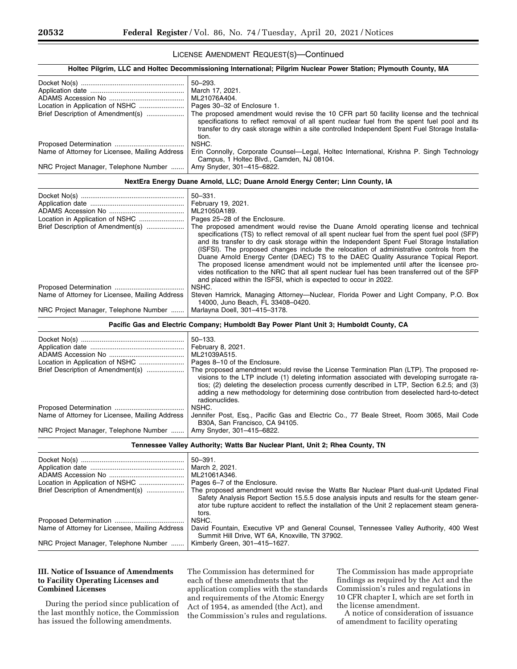# LICENSE AMENDMENT REQUEST(S)—Continued

|                                                                                         | Holtec Pilgrim, LLC and Holtec Decommissioning International; Pilgrim Nuclear Power Station; Plymouth County, MA                                                                                                                                                                                                                                                                                                                                                                                                                                                                                                                                                                                                                                                                                                             |  |  |
|-----------------------------------------------------------------------------------------|------------------------------------------------------------------------------------------------------------------------------------------------------------------------------------------------------------------------------------------------------------------------------------------------------------------------------------------------------------------------------------------------------------------------------------------------------------------------------------------------------------------------------------------------------------------------------------------------------------------------------------------------------------------------------------------------------------------------------------------------------------------------------------------------------------------------------|--|--|
|                                                                                         | $50 - 293.$<br>March 17, 2021.<br>ML21076A404.<br>Pages 30-32 of Enclosure 1.                                                                                                                                                                                                                                                                                                                                                                                                                                                                                                                                                                                                                                                                                                                                                |  |  |
| Brief Description of Amendment(s)                                                       | The proposed amendment would revise the 10 CFR part 50 facility license and the technical<br>specifications to reflect removal of all spent nuclear fuel from the spent fuel pool and its<br>transfer to dry cask storage within a site controlled Independent Spent Fuel Storage Installa-<br>tion.                                                                                                                                                                                                                                                                                                                                                                                                                                                                                                                         |  |  |
| Name of Attorney for Licensee, Mailing Address                                          | NSHC.<br>Erin Connolly, Corporate Counsel-Legal, Holtec International, Krishna P. Singh Technology<br>Campus, 1 Holtec Blvd., Camden, NJ 08104.                                                                                                                                                                                                                                                                                                                                                                                                                                                                                                                                                                                                                                                                              |  |  |
| NRC Project Manager, Telephone Number                                                   | Amy Snyder, 301-415-6822.                                                                                                                                                                                                                                                                                                                                                                                                                                                                                                                                                                                                                                                                                                                                                                                                    |  |  |
|                                                                                         | NextEra Energy Duane Arnold, LLC; Duane Arnold Energy Center; Linn County, IA                                                                                                                                                                                                                                                                                                                                                                                                                                                                                                                                                                                                                                                                                                                                                |  |  |
| Location in Application of NSHC<br>Brief Description of Amendment(s)                    | $50 - 331.$<br>February 19, 2021.<br>ML21050A189.<br>Pages 25-28 of the Enclosure.<br>The proposed amendment would revise the Duane Arnold operating license and technical<br>specifications (TS) to reflect removal of all spent nuclear fuel from the spent fuel pool (SFP)<br>and its transfer to dry cask storage within the Independent Spent Fuel Storage Installation<br>(ISFSI). The proposed changes include the relocation of administrative controls from the<br>Duane Arnold Energy Center (DAEC) TS to the DAEC Quality Assurance Topical Report.<br>The proposed license amendment would not be implemented until after the licensee pro-<br>vides notification to the NRC that all spent nuclear fuel has been transferred out of the SFP<br>and placed within the ISFSI, which is expected to occur in 2022. |  |  |
| Name of Attorney for Licensee, Mailing Address<br>NRC Project Manager, Telephone Number | NSHC.<br>Steven Hamrick, Managing Attorney—Nuclear, Florida Power and Light Company, P.O. Box<br>14000, Juno Beach, FL 33408-0420.<br>Marlayna Doell, 301-415-3178.                                                                                                                                                                                                                                                                                                                                                                                                                                                                                                                                                                                                                                                          |  |  |
|                                                                                         | Pacific Gas and Electric Company; Humboldt Bay Power Plant Unit 3; Humboldt County, CA                                                                                                                                                                                                                                                                                                                                                                                                                                                                                                                                                                                                                                                                                                                                       |  |  |
|                                                                                         |                                                                                                                                                                                                                                                                                                                                                                                                                                                                                                                                                                                                                                                                                                                                                                                                                              |  |  |
| Brief Description of Amendment(s)                                                       | $50 - 133$ .<br>February 8, 2021.<br>ML21039A515.<br>Pages 8-10 of the Enclosure.<br>The proposed amendment would revise the License Termination Plan (LTP). The proposed re-<br>visions to the LTP include (1) deleting information associated with developing surrogate ra-<br>tios; (2) deleting the deselection process currently described in LTP, Section 6.2.5; and (3)<br>adding a new methodology for determining dose contribution from deselected hard-to-detect                                                                                                                                                                                                                                                                                                                                                  |  |  |
| Name of Attorney for Licensee, Mailing Address                                          | radionuclides.<br>NSHC.<br>Jennifer Post, Esq., Pacific Gas and Electric Co., 77 Beale Street, Room 3065, Mail Code<br>B30A, San Francisco, CA 94105.                                                                                                                                                                                                                                                                                                                                                                                                                                                                                                                                                                                                                                                                        |  |  |
| NRC Project Manager, Telephone Number                                                   | Amy Snyder, 301-415-6822.                                                                                                                                                                                                                                                                                                                                                                                                                                                                                                                                                                                                                                                                                                                                                                                                    |  |  |
|                                                                                         | Tennessee Valley Authority; Watts Bar Nuclear Plant, Unit 2; Rhea County, TN                                                                                                                                                                                                                                                                                                                                                                                                                                                                                                                                                                                                                                                                                                                                                 |  |  |
| Location in Application of NSHC<br>Brief Description of Amendment(s)                    | $50 - 391.$<br>March 2, 2021.<br>ML21061A346.<br>Pages 6-7 of the Enclosure.<br>The proposed amendment would revise the Watts Bar Nuclear Plant dual-unit Updated Final<br>Safety Analysis Report Section 15.5.5 dose analysis inputs and results for the steam gener-<br>ator tube rupture accident to reflect the installation of the Unit 2 replacement steam genera-<br>tors.                                                                                                                                                                                                                                                                                                                                                                                                                                            |  |  |
| Name of Attorney for Licensee, Mailing Address                                          | NSHC.<br>David Fountain, Executive VP and General Counsel, Tennessee Valley Authority, 400 West<br>Summit Hill Drive, WT 6A, Knoxville, TN 37902.                                                                                                                                                                                                                                                                                                                                                                                                                                                                                                                                                                                                                                                                            |  |  |

# **III. Notice of Issuance of Amendments to Facility Operating Licenses and Combined Licenses**

During the period since publication of the last monthly notice, the Commission has issued the following amendments.

The Commission has determined for each of these amendments that the application complies with the standards and requirements of the Atomic Energy Act of 1954, as amended (the Act), and the Commission's rules and regulations.

The Commission has made appropriate findings as required by the Act and the Commission's rules and regulations in 10 CFR chapter I, which are set forth in the license amendment.

A notice of consideration of issuance of amendment to facility operating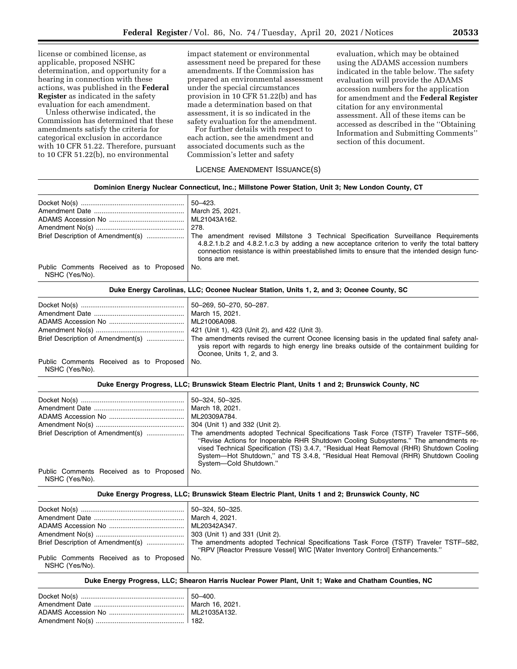license or combined license, as applicable, proposed NSHC determination, and opportunity for a hearing in connection with these actions, was published in the **Federal Register** as indicated in the safety evaluation for each amendment.

Unless otherwise indicated, the Commission has determined that these amendments satisfy the criteria for categorical exclusion in accordance with 10 CFR 51.22. Therefore, pursuant to 10 CFR 51.22(b), no environmental

impact statement or environmental assessment need be prepared for these amendments. If the Commission has prepared an environmental assessment under the special circumstances provision in 10 CFR 51.22(b) and has made a determination based on that assessment, it is so indicated in the safety evaluation for the amendment.

For further details with respect to each action, see the amendment and associated documents such as the Commission's letter and safety

evaluation, which may be obtained using the ADAMS accession numbers indicated in the table below. The safety evaluation will provide the ADAMS accession numbers for the application for amendment and the **Federal Register**  citation for any environmental assessment. All of these items can be accessed as described in the ''Obtaining Information and Submitting Comments'' section of this document.

# LICENSE AMENDMENT ISSUANCE(S)

|                                                           | Dominion Energy Nuclear Connecticut, Inc.; Millstone Power Station, Unit 3; New London County, CT                                                                                                                                                                                                                                                                                     |
|-----------------------------------------------------------|---------------------------------------------------------------------------------------------------------------------------------------------------------------------------------------------------------------------------------------------------------------------------------------------------------------------------------------------------------------------------------------|
|                                                           | $50 - 423$ .                                                                                                                                                                                                                                                                                                                                                                          |
|                                                           | March 25, 2021.                                                                                                                                                                                                                                                                                                                                                                       |
|                                                           | ML21043A162.                                                                                                                                                                                                                                                                                                                                                                          |
|                                                           | 278.                                                                                                                                                                                                                                                                                                                                                                                  |
| Brief Description of Amendment(s)                         | The amendment revised Millstone 3 Technical Specification Surveillance Requirements<br>4.8.2.1.b.2 and 4.8.2.1.c.3 by adding a new acceptance criterion to verify the total battery<br>connection resistance is within preestablished limits to ensure that the intended design func-<br>tions are met.                                                                               |
| Public Comments Received as to Proposed<br>NSHC (Yes/No). | No.                                                                                                                                                                                                                                                                                                                                                                                   |
|                                                           | Duke Energy Carolinas, LLC; Oconee Nuclear Station, Units 1, 2, and 3; Oconee County, SC                                                                                                                                                                                                                                                                                              |
|                                                           | 50-269, 50-270, 50-287.                                                                                                                                                                                                                                                                                                                                                               |
|                                                           | March 15, 2021.                                                                                                                                                                                                                                                                                                                                                                       |
|                                                           | ML21006A098.                                                                                                                                                                                                                                                                                                                                                                          |
|                                                           | 421 (Unit 1), 423 (Unit 2), and 422 (Unit 3).                                                                                                                                                                                                                                                                                                                                         |
| Brief Description of Amendment(s)                         | The amendments revised the current Oconee licensing basis in the updated final safety anal-<br>ysis report with regards to high energy line breaks outside of the containment building for<br>Oconee, Units 1, 2, and 3.                                                                                                                                                              |
| Public Comments Received as to Proposed<br>NSHC (Yes/No). | No.                                                                                                                                                                                                                                                                                                                                                                                   |
|                                                           | Duke Energy Progress, LLC; Brunswick Steam Electric Plant, Units 1 and 2; Brunswick County, NC                                                                                                                                                                                                                                                                                        |
|                                                           | 50-324, 50-325.                                                                                                                                                                                                                                                                                                                                                                       |
|                                                           | March 18, 2021.                                                                                                                                                                                                                                                                                                                                                                       |
|                                                           | ML20309A784.                                                                                                                                                                                                                                                                                                                                                                          |
|                                                           | 304 (Unit 1) and 332 (Unit 2).                                                                                                                                                                                                                                                                                                                                                        |
| Brief Description of Amendment(s)                         | The amendments adopted Technical Specifications Task Force (TSTF) Traveler TSTF-566,<br>"Revise Actions for Inoperable RHR Shutdown Cooling Subsystems." The amendments re-<br>vised Technical Specification (TS) 3.4.7, "Residual Heat Removal (RHR) Shutdown Cooling<br>System-Hot Shutdown," and TS 3.4.8, "Residual Heat Removal (RHR) Shutdown Cooling<br>System-Cold Shutdown." |
| Public Comments Received as to Proposed<br>NSHC (Yes/No). | No.                                                                                                                                                                                                                                                                                                                                                                                   |
|                                                           | Duke Energy Progress, LLC; Brunswick Steam Electric Plant, Units 1 and 2; Brunswick County, NC                                                                                                                                                                                                                                                                                        |
|                                                           | 50-324, 50-325.                                                                                                                                                                                                                                                                                                                                                                       |
|                                                           | March 4, 2021.                                                                                                                                                                                                                                                                                                                                                                        |
|                                                           | ML20342A347.                                                                                                                                                                                                                                                                                                                                                                          |
|                                                           |                                                                                                                                                                                                                                                                                                                                                                                       |

|                                                                 | The amendments adopted Technical Specifications Task Force (TSTF) Traveler TSTF-582, |
|-----------------------------------------------------------------|--------------------------------------------------------------------------------------|
|                                                                 | "RPV [Reactor Pressure Vessel] WIC [Water Inventory Control] Enhancements."          |
| Public Comments Received as to Proposed   No.<br>NSHC (Yes/No). |                                                                                      |

**Duke Energy Progress, LLC; Shearon Harris Nuclear Power Plant, Unit 1; Wake and Chatham Counties, NC**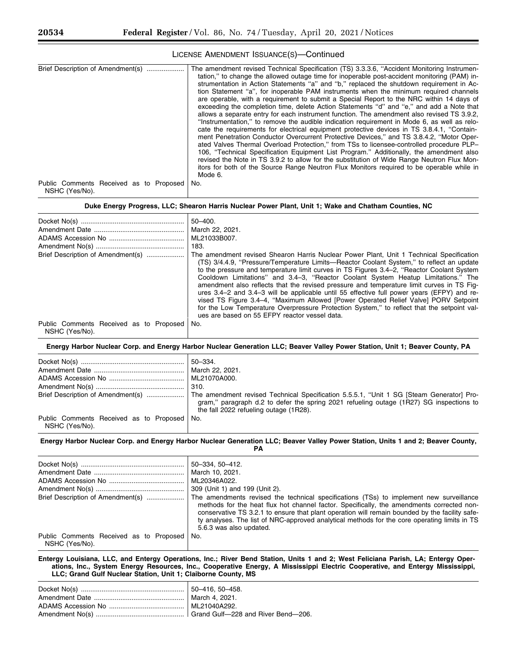# LICENSE AMENDMENT ISSUANCE(S)—Continued

| Brief Description of Amendment(s)                         | The amendment revised Technical Specification (TS) 3.3.3.6, "Accident Monitoring Instrumen-<br>tation," to change the allowed outage time for inoperable post-accident monitoring (PAM) in-<br>strumentation in Action Statements "a" and "b," replaced the shutdown requirement in Ac-<br>tion Statement "a", for inoperable PAM instruments when the minimum required channels<br>are operable, with a requirement to submit a Special Report to the NRC within 14 days of<br>exceeding the completion time, delete Action Statements "d" and "e," and add a Note that<br>allows a separate entry for each instrument function. The amendment also revised TS 3.9.2,<br>"Instrumentation," to remove the audible indication requirement in Mode 6, as well as relo-<br>cate the requirements for electrical equipment protective devices in TS 3.8.4.1, "Contain-<br>ment Penetration Conductor Overcurrent Protective Devices," and TS 3.8.4.2, "Motor Oper-<br>ated Valves Thermal Overload Protection," from TSs to licensee-controlled procedure PLP-<br>106, "Technical Specification Equipment List Program." Additionally, the amendment also<br>revised the Note in TS 3.9.2 to allow for the substitution of Wide Range Neutron Flux Mon- |
|-----------------------------------------------------------|------------------------------------------------------------------------------------------------------------------------------------------------------------------------------------------------------------------------------------------------------------------------------------------------------------------------------------------------------------------------------------------------------------------------------------------------------------------------------------------------------------------------------------------------------------------------------------------------------------------------------------------------------------------------------------------------------------------------------------------------------------------------------------------------------------------------------------------------------------------------------------------------------------------------------------------------------------------------------------------------------------------------------------------------------------------------------------------------------------------------------------------------------------------------------------------------------------------------------------------------------|
|                                                           | itors for both of the Source Range Neutron Flux Monitors required to be operable while in<br>Mode 6.                                                                                                                                                                                                                                                                                                                                                                                                                                                                                                                                                                                                                                                                                                                                                                                                                                                                                                                                                                                                                                                                                                                                                 |
| Public Comments Received as to Proposed<br>NSHC (Yes/No). | No.                                                                                                                                                                                                                                                                                                                                                                                                                                                                                                                                                                                                                                                                                                                                                                                                                                                                                                                                                                                                                                                                                                                                                                                                                                                  |
|                                                           | Duke Energy Progress, LLC; Shearon Harris Nuclear Power Plant, Unit 1; Wake and Chatham Counties, NC                                                                                                                                                                                                                                                                                                                                                                                                                                                                                                                                                                                                                                                                                                                                                                                                                                                                                                                                                                                                                                                                                                                                                 |
| Brief Description of Amendment(s)                         | $50 - 400.$<br>March 22, 2021.<br>ML21033B007.<br>183.<br>The amendment revised Shearon Harris Nuclear Power Plant, Unit 1 Technical Specification<br>(TS) 3/4.4.9, "Pressure/Temperature Limits—Reactor Coolant System," to reflect an update<br>to the pressure and temperature limit curves in TS Figures 3.4–2, "Reactor Coolant System<br>Cooldown Limitations" and 3.4-3, "Reactor Coolant System Heatup Limitations." The<br>amendment also reflects that the revised pressure and temperature limit curves in TS Fig-<br>ures 3.4–2 and 3.4–3 will be applicable until 55 effective full power years (EFPY) and re-                                                                                                                                                                                                                                                                                                                                                                                                                                                                                                                                                                                                                          |
| Public Comments Received as to Proposed                   | vised TS Figure 3.4-4, "Maximum Allowed [Power Operated Relief Valve] PORV Setpoint<br>for the Low Temperature Overpressure Protection System," to reflect that the setpoint val-<br>ues are based on 55 EFPY reactor vessel data.<br>No.                                                                                                                                                                                                                                                                                                                                                                                                                                                                                                                                                                                                                                                                                                                                                                                                                                                                                                                                                                                                            |
| NSHC (Yes/No).                                            | Energy Harbor Nuclear Corp. and Energy Harbor Nuclear Generation LLC; Beaver Valley Power Station, Unit 1; Beaver County, PA                                                                                                                                                                                                                                                                                                                                                                                                                                                                                                                                                                                                                                                                                                                                                                                                                                                                                                                                                                                                                                                                                                                         |
|                                                           | 50-334.                                                                                                                                                                                                                                                                                                                                                                                                                                                                                                                                                                                                                                                                                                                                                                                                                                                                                                                                                                                                                                                                                                                                                                                                                                              |
|                                                           | March 22, 2021.                                                                                                                                                                                                                                                                                                                                                                                                                                                                                                                                                                                                                                                                                                                                                                                                                                                                                                                                                                                                                                                                                                                                                                                                                                      |
|                                                           | ML21070A000.                                                                                                                                                                                                                                                                                                                                                                                                                                                                                                                                                                                                                                                                                                                                                                                                                                                                                                                                                                                                                                                                                                                                                                                                                                         |
|                                                           | 310.                                                                                                                                                                                                                                                                                                                                                                                                                                                                                                                                                                                                                                                                                                                                                                                                                                                                                                                                                                                                                                                                                                                                                                                                                                                 |
| Brief Description of Amendment(s)                         | The amendment revised Technical Specification 5.5.5.1, "Unit 1 SG [Steam Generator] Pro-<br>gram," paragraph d.2 to defer the spring 2021 refueling outage (1R27) SG inspections to<br>the fall 2022 refueling outage (1R28).                                                                                                                                                                                                                                                                                                                                                                                                                                                                                                                                                                                                                                                                                                                                                                                                                                                                                                                                                                                                                        |
| Public Comments Received as to Proposed<br>NSHC (Yes/No). | No.                                                                                                                                                                                                                                                                                                                                                                                                                                                                                                                                                                                                                                                                                                                                                                                                                                                                                                                                                                                                                                                                                                                                                                                                                                                  |
|                                                           | Energy Harbor Nuclear Corp. and Energy Harbor Nuclear Generation LLC; Beaver Valley Power Station, Units 1 and 2; Beaver County,<br><b>PA</b>                                                                                                                                                                                                                                                                                                                                                                                                                                                                                                                                                                                                                                                                                                                                                                                                                                                                                                                                                                                                                                                                                                        |
|                                                           | 50-334, 50-412.                                                                                                                                                                                                                                                                                                                                                                                                                                                                                                                                                                                                                                                                                                                                                                                                                                                                                                                                                                                                                                                                                                                                                                                                                                      |
|                                                           | March 10, 2021.                                                                                                                                                                                                                                                                                                                                                                                                                                                                                                                                                                                                                                                                                                                                                                                                                                                                                                                                                                                                                                                                                                                                                                                                                                      |
|                                                           | ML20346A022.                                                                                                                                                                                                                                                                                                                                                                                                                                                                                                                                                                                                                                                                                                                                                                                                                                                                                                                                                                                                                                                                                                                                                                                                                                         |
|                                                           | 309 (Unit 1) and 199 (Unit 2).                                                                                                                                                                                                                                                                                                                                                                                                                                                                                                                                                                                                                                                                                                                                                                                                                                                                                                                                                                                                                                                                                                                                                                                                                       |
| $Divich$ $D$ a solution of Appropriate $ab(a)$            | The companion of the continued of the contract of the contract of the contract of the contract of the contract of the contract of the contract of the contract of the contract of the contract of the contract of the contract                                                                                                                                                                                                                                                                                                                                                                                                                                                                                                                                                                                                                                                                                                                                                                                                                                                                                                                                                                                                                       |

Brief Description of Amendment(s) .................... The amendments revised the technical specifications (TSs) to implement new surveillance methods for the heat flux hot channel factor. Specifically, the amendments corrected nonconservative TS 3.2.1 to ensure that plant operation will remain bounded by the facility safety analyses. The list of NRC-approved analytical methods for the core operating limits in TS 5.6.3 was also updated. No.

Public Comments Received as to Proposed NSHC (Yes/No).

**Entergy Louisiana, LLC, and Entergy Operations, Inc.; River Bend Station, Units 1 and 2; West Feliciana Parish, LA; Entergy Operations, Inc., System Energy Resources, Inc., Cooperative Energy, A Mississippi Electric Cooperative, and Entergy Mississippi, LLC; Grand Gulf Nuclear Station, Unit 1; Claiborne County, MS**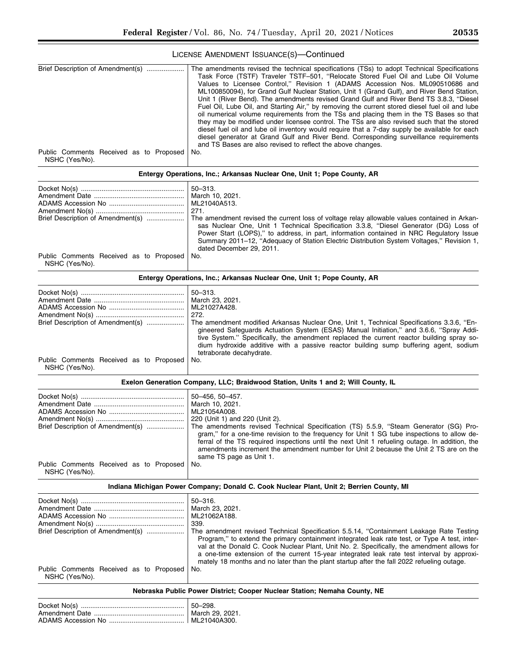$\equiv$ 

# LICENSE AMENDMENT ISSUANCE(S)—Continued

| Brief Description of Amendment(s)                         | The amendments revised the technical specifications (TSs) to adopt Technical Specifications<br>Task Force (TSTF) Traveler TSTF-501, "Relocate Stored Fuel Oil and Lube Oil Volume<br>Values to Licensee Control," Revision 1 (ADAMS Accession Nos. ML090510686 and<br>ML100850094), for Grand Gulf Nuclear Station, Unit 1 (Grand Gulf), and River Bend Station,<br>Unit 1 (River Bend). The amendments revised Grand Gulf and River Bend TS 3.8.3, "Diesel<br>Fuel Oil, Lube Oil, and Starting Air," by removing the current stored diesel fuel oil and lube<br>oil numerical volume requirements from the TSs and placing them in the TS Bases so that<br>they may be modified under licensee control. The TSs are also revised such that the stored<br>diesel fuel oil and lube oil inventory would require that a 7-day supply be available for each<br>diesel generator at Grand Gulf and River Bend. Corresponding surveillance requirements<br>and TS Bases are also revised to reflect the above changes. |  |  |
|-----------------------------------------------------------|-------------------------------------------------------------------------------------------------------------------------------------------------------------------------------------------------------------------------------------------------------------------------------------------------------------------------------------------------------------------------------------------------------------------------------------------------------------------------------------------------------------------------------------------------------------------------------------------------------------------------------------------------------------------------------------------------------------------------------------------------------------------------------------------------------------------------------------------------------------------------------------------------------------------------------------------------------------------------------------------------------------------|--|--|
| Public Comments Received as to Proposed<br>NSHC (Yes/No). | No.                                                                                                                                                                                                                                                                                                                                                                                                                                                                                                                                                                                                                                                                                                                                                                                                                                                                                                                                                                                                               |  |  |
|                                                           | Entergy Operations, Inc.; Arkansas Nuclear One, Unit 1; Pope County, AR                                                                                                                                                                                                                                                                                                                                                                                                                                                                                                                                                                                                                                                                                                                                                                                                                                                                                                                                           |  |  |
|                                                           | $50 - 313.$                                                                                                                                                                                                                                                                                                                                                                                                                                                                                                                                                                                                                                                                                                                                                                                                                                                                                                                                                                                                       |  |  |
|                                                           | March 10, 2021.                                                                                                                                                                                                                                                                                                                                                                                                                                                                                                                                                                                                                                                                                                                                                                                                                                                                                                                                                                                                   |  |  |
|                                                           | ML21040A513.                                                                                                                                                                                                                                                                                                                                                                                                                                                                                                                                                                                                                                                                                                                                                                                                                                                                                                                                                                                                      |  |  |
|                                                           | 271.                                                                                                                                                                                                                                                                                                                                                                                                                                                                                                                                                                                                                                                                                                                                                                                                                                                                                                                                                                                                              |  |  |
| Brief Description of Amendment(s)                         | The amendment revised the current loss of voltage relay allowable values contained in Arkan-<br>sas Nuclear One, Unit 1 Technical Specification 3.3.8, "Diesel Generator (DG) Loss of<br>Power Start (LOPS)," to address, in part, information contained in NRC Regulatory Issue<br>Summary 2011-12, "Adequacy of Station Electric Distribution System Voltages," Revision 1,<br>dated December 29, 2011.                                                                                                                                                                                                                                                                                                                                                                                                                                                                                                                                                                                                         |  |  |
| Public Comments Received as to Proposed<br>NSHC (Yes/No). | No.                                                                                                                                                                                                                                                                                                                                                                                                                                                                                                                                                                                                                                                                                                                                                                                                                                                                                                                                                                                                               |  |  |
|                                                           | Entergy Operations, Inc.; Arkansas Nuclear One, Unit 1; Pope County, AR                                                                                                                                                                                                                                                                                                                                                                                                                                                                                                                                                                                                                                                                                                                                                                                                                                                                                                                                           |  |  |
|                                                           | $50 - 313.$                                                                                                                                                                                                                                                                                                                                                                                                                                                                                                                                                                                                                                                                                                                                                                                                                                                                                                                                                                                                       |  |  |
|                                                           | March 23, 2021.                                                                                                                                                                                                                                                                                                                                                                                                                                                                                                                                                                                                                                                                                                                                                                                                                                                                                                                                                                                                   |  |  |
|                                                           | ML21027A428.                                                                                                                                                                                                                                                                                                                                                                                                                                                                                                                                                                                                                                                                                                                                                                                                                                                                                                                                                                                                      |  |  |
|                                                           | 272.                                                                                                                                                                                                                                                                                                                                                                                                                                                                                                                                                                                                                                                                                                                                                                                                                                                                                                                                                                                                              |  |  |
| Brief Description of Amendment(s)                         | The amendment modified Arkansas Nuclear One, Unit 1, Technical Specifications 3.3.6, "En-<br>gineered Safeguards Actuation System (ESAS) Manual Initiation," and 3.6.6, "Spray Addi-<br>tive System." Specifically, the amendment replaced the current reactor building spray so-<br>dium hydroxide additive with a passive reactor building sump buffering agent, sodium<br>tetraborate decahydrate.                                                                                                                                                                                                                                                                                                                                                                                                                                                                                                                                                                                                             |  |  |
| Public Comments Received as to Proposed<br>NSHC (Yes/No). | No.                                                                                                                                                                                                                                                                                                                                                                                                                                                                                                                                                                                                                                                                                                                                                                                                                                                                                                                                                                                                               |  |  |
|                                                           | Exelon Generation Company, LLC; Braidwood Station, Units 1 and 2; Will County, IL                                                                                                                                                                                                                                                                                                                                                                                                                                                                                                                                                                                                                                                                                                                                                                                                                                                                                                                                 |  |  |
|                                                           | 50-456, 50-457.                                                                                                                                                                                                                                                                                                                                                                                                                                                                                                                                                                                                                                                                                                                                                                                                                                                                                                                                                                                                   |  |  |
|                                                           | March 10, 2021.                                                                                                                                                                                                                                                                                                                                                                                                                                                                                                                                                                                                                                                                                                                                                                                                                                                                                                                                                                                                   |  |  |
|                                                           | ML21054A008.                                                                                                                                                                                                                                                                                                                                                                                                                                                                                                                                                                                                                                                                                                                                                                                                                                                                                                                                                                                                      |  |  |
|                                                           | 220 (Unit 1) and 220 (Unit 2).                                                                                                                                                                                                                                                                                                                                                                                                                                                                                                                                                                                                                                                                                                                                                                                                                                                                                                                                                                                    |  |  |
| Brief Description of Amendment(s)                         | The amendments revised Technical Specification (TS) 5.5.9, "Steam Generator (SG) Pro-<br>gram," for a one-time revision to the frequency for Unit 1 SG tube inspections to allow de-<br>ferral of the TS required inspections until the next Unit 1 refueling outage. In addition, the<br>amendments increment the amendment number for Unit 2 because the Unit 2 TS are on the<br>same TS page as Unit 1.                                                                                                                                                                                                                                                                                                                                                                                                                                                                                                                                                                                                        |  |  |
| Public Comments Received as to Proposed<br>NSHC (Yes/No). | No.                                                                                                                                                                                                                                                                                                                                                                                                                                                                                                                                                                                                                                                                                                                                                                                                                                                                                                                                                                                                               |  |  |
|                                                           | Indiana Michigan Power Company; Donald C. Cook Nuclear Plant, Unit 2; Berrien County, MI                                                                                                                                                                                                                                                                                                                                                                                                                                                                                                                                                                                                                                                                                                                                                                                                                                                                                                                          |  |  |
|                                                           | $50 - 316.$                                                                                                                                                                                                                                                                                                                                                                                                                                                                                                                                                                                                                                                                                                                                                                                                                                                                                                                                                                                                       |  |  |
|                                                           | March 23, 2021.                                                                                                                                                                                                                                                                                                                                                                                                                                                                                                                                                                                                                                                                                                                                                                                                                                                                                                                                                                                                   |  |  |
|                                                           | ML21062A188.                                                                                                                                                                                                                                                                                                                                                                                                                                                                                                                                                                                                                                                                                                                                                                                                                                                                                                                                                                                                      |  |  |
|                                                           | 339.                                                                                                                                                                                                                                                                                                                                                                                                                                                                                                                                                                                                                                                                                                                                                                                                                                                                                                                                                                                                              |  |  |
| Brief Description of Amendment(s)                         | The amendment revised Technical Specification 5.5.14, "Containment Leakage Rate Testing<br>Program," to extend the primary containment integrated leak rate test, or Type A test, inter-<br>val at the Donald C. Cook Nuclear Plant, Unit No. 2. Specifically, the amendment allows for<br>a one-time extension of the current 15-year integrated leak rate test interval by approxi-<br>mately 18 months and no later than the plant startup after the fall 2022 refueling outage.                                                                                                                                                                                                                                                                                                                                                                                                                                                                                                                               |  |  |
| Public Comments Received as to Proposed<br>NSHC (Yes/No). | No.                                                                                                                                                                                                                                                                                                                                                                                                                                                                                                                                                                                                                                                                                                                                                                                                                                                                                                                                                                                                               |  |  |
|                                                           | Nebraska Public Power District; Cooper Nuclear Station; Nemaha County, NE                                                                                                                                                                                                                                                                                                                                                                                                                                                                                                                                                                                                                                                                                                                                                                                                                                                                                                                                         |  |  |
|                                                           | $50 - 298.$                                                                                                                                                                                                                                                                                                                                                                                                                                                                                                                                                                                                                                                                                                                                                                                                                                                                                                                                                                                                       |  |  |
|                                                           | March 29, 2021.                                                                                                                                                                                                                                                                                                                                                                                                                                                                                                                                                                                                                                                                                                                                                                                                                                                                                                                                                                                                   |  |  |
|                                                           | ML21040A300.                                                                                                                                                                                                                                                                                                                                                                                                                                                                                                                                                                                                                                                                                                                                                                                                                                                                                                                                                                                                      |  |  |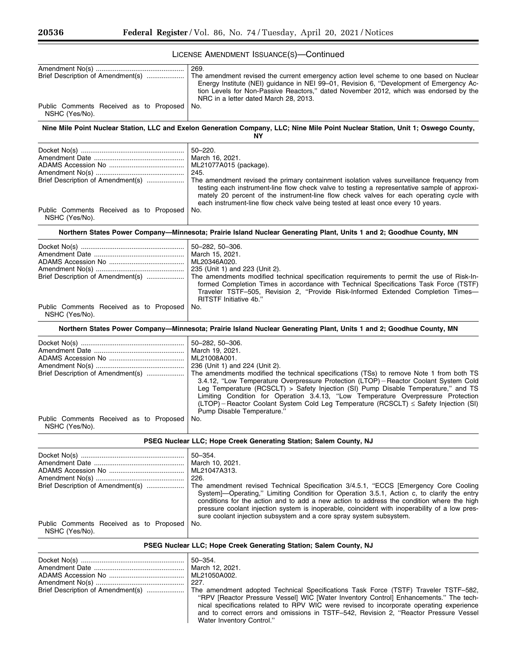▀

# LICENSE AMENDMENT ISSUANCE(S)—Continued

| Brief Description of Amendment(s)                         | 269.<br>The amendment revised the current emergency action level scheme to one based on Nuclear<br>Energy Institute (NEI) guidance in NEI 99-01, Revision 6, "Development of Emergency Ac-<br>tion Levels for Non-Passive Reactors," dated November 2012, which was endorsed by the<br>NRC in a letter dated March 28, 2013.                                                                                                                                                               |  |
|-----------------------------------------------------------|--------------------------------------------------------------------------------------------------------------------------------------------------------------------------------------------------------------------------------------------------------------------------------------------------------------------------------------------------------------------------------------------------------------------------------------------------------------------------------------------|--|
| Public Comments Received as to Proposed<br>NSHC (Yes/No). | No.                                                                                                                                                                                                                                                                                                                                                                                                                                                                                        |  |
|                                                           | Nine Mile Point Nuclear Station, LLC and Exelon Generation Company, LLC; Nine Mile Point Nuclear Station, Unit 1; Oswego County,<br>NΥ                                                                                                                                                                                                                                                                                                                                                     |  |
|                                                           | $50 - 220$ .                                                                                                                                                                                                                                                                                                                                                                                                                                                                               |  |
|                                                           | March 16, 2021.                                                                                                                                                                                                                                                                                                                                                                                                                                                                            |  |
|                                                           | ML21077A015 (package).                                                                                                                                                                                                                                                                                                                                                                                                                                                                     |  |
|                                                           | 245.                                                                                                                                                                                                                                                                                                                                                                                                                                                                                       |  |
| Brief Description of Amendment(s)                         | The amendment revised the primary containment isolation valves surveillance frequency from<br>testing each instrument-line flow check valve to testing a representative sample of approxi-<br>mately 20 percent of the instrument-line flow check valves for each operating cycle with<br>each instrument-line flow check valve being tested at least once every 10 years.                                                                                                                 |  |
| Public Comments Received as to Proposed<br>NSHC (Yes/No). | No.                                                                                                                                                                                                                                                                                                                                                                                                                                                                                        |  |
|                                                           | Northern States Power Company—Minnesota; Prairie Island Nuclear Generating Plant, Units 1 and 2; Goodhue County, MN                                                                                                                                                                                                                                                                                                                                                                        |  |
|                                                           | 50-282, 50-306.                                                                                                                                                                                                                                                                                                                                                                                                                                                                            |  |
|                                                           | March 15, 2021.                                                                                                                                                                                                                                                                                                                                                                                                                                                                            |  |
|                                                           | ML20346A020.                                                                                                                                                                                                                                                                                                                                                                                                                                                                               |  |
|                                                           | 235 (Unit 1) and 223 (Unit 2).                                                                                                                                                                                                                                                                                                                                                                                                                                                             |  |
| Brief Description of Amendment(s)                         | The amendments modified technical specification requirements to permit the use of Risk-In-<br>formed Completion Times in accordance with Technical Specifications Task Force (TSTF)<br>Traveler TSTF-505, Revision 2, "Provide Risk-Informed Extended Completion Times-<br>RITSTF Initiative 4b."                                                                                                                                                                                          |  |
| Public Comments Received as to Proposed<br>NSHC (Yes/No). | No.                                                                                                                                                                                                                                                                                                                                                                                                                                                                                        |  |
|                                                           | Northern States Power Company-Minnesota; Prairie Island Nuclear Generating Plant, Units 1 and 2; Goodhue County, MN                                                                                                                                                                                                                                                                                                                                                                        |  |
|                                                           | 50-282, 50-306.                                                                                                                                                                                                                                                                                                                                                                                                                                                                            |  |
|                                                           | March 19, 2021.                                                                                                                                                                                                                                                                                                                                                                                                                                                                            |  |
|                                                           | ML21008A001.                                                                                                                                                                                                                                                                                                                                                                                                                                                                               |  |
|                                                           | 236 (Unit 1) and 224 (Unit 2).                                                                                                                                                                                                                                                                                                                                                                                                                                                             |  |
| Brief Description of Amendment(s)                         | The amendments modified the technical specifications (TSs) to remove Note 1 from both TS<br>3.4.12, "Low Temperature Overpressure Protection (LTOP) - Reactor Coolant System Cold<br>Leg Temperature (RCSCLT) > Safety Injection (SI) Pump Disable Temperature," and TS<br>Limiting Condition for Operation 3.4.13, "Low Temperature Overpressure Protection<br>$(LTOP)$ – Reactor Coolant System Cold Leg Temperature (RCSCLT) $\leq$ Safety Injection (SI)<br>Pump Disable Temperature." |  |
| Public Comments Received as to Proposed<br>NSHC (Yes/No). | No.                                                                                                                                                                                                                                                                                                                                                                                                                                                                                        |  |
|                                                           | PSEG Nuclear LLC; Hope Creek Generating Station; Salem County, NJ                                                                                                                                                                                                                                                                                                                                                                                                                          |  |
|                                                           | $50 - 354$ .                                                                                                                                                                                                                                                                                                                                                                                                                                                                               |  |
|                                                           | March 10, 2021.                                                                                                                                                                                                                                                                                                                                                                                                                                                                            |  |
|                                                           | ML21047A313.                                                                                                                                                                                                                                                                                                                                                                                                                                                                               |  |
|                                                           | 226.                                                                                                                                                                                                                                                                                                                                                                                                                                                                                       |  |
| Brief Description of Amendment(s)                         | The amendment revised Technical Specification 3/4.5.1, "ECCS [Emergency Core Cooling<br>System]—Operating," Limiting Condition for Operation 3.5.1, Action c, to clarify the entry<br>conditions for the action and to add a new action to address the condition where the high<br>pressure coolant injection system is inoperable, coincident with inoperability of a low pres-<br>sure coolant injection subsystem and a core spray system subsystem.                                    |  |
| Public Comments Received as to Proposed<br>NSHC (Yes/No). | No.                                                                                                                                                                                                                                                                                                                                                                                                                                                                                        |  |
|                                                           | PSEG Nuclear LLC; Hope Creek Generating Station; Salem County, NJ                                                                                                                                                                                                                                                                                                                                                                                                                          |  |
|                                                           | 50-354.                                                                                                                                                                                                                                                                                                                                                                                                                                                                                    |  |
|                                                           | March 12, 2021.                                                                                                                                                                                                                                                                                                                                                                                                                                                                            |  |
|                                                           | ML21050A002.                                                                                                                                                                                                                                                                                                                                                                                                                                                                               |  |
|                                                           | 227.                                                                                                                                                                                                                                                                                                                                                                                                                                                                                       |  |
| Brief Description of Amendment(s)                         | The amendment adopted Technical Specifications Task Force (TSTF) Traveler TSTF-582,<br>"RPV [Reactor Pressure Vessel] WIC [Water Inventory Control] Enhancements." The tech-<br>nical specifications related to RPV WIC were revised to incorporate operating experience<br>and to correct errors and omissions in TSTF-542, Revision 2, "Reactor Pressure Vessel<br>Water Inventory Control."                                                                                             |  |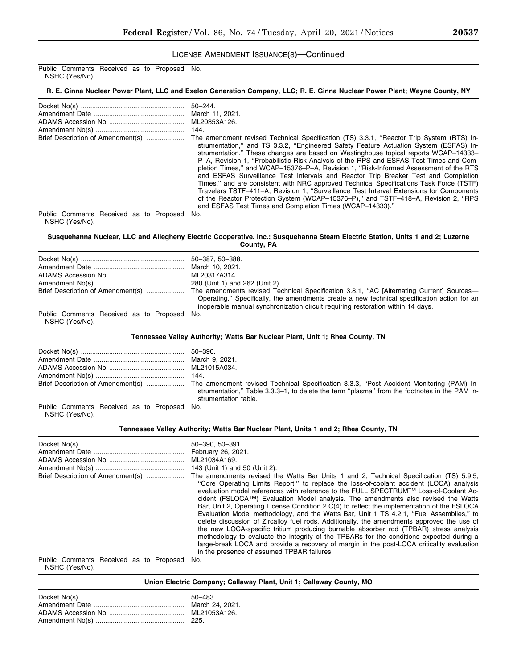# LICENSE AMENDMENT ISSUANCE(S)—Continued

| Public Comments Received as to Proposed<br>NSHC (Yes/No). | No.                                                                                                                                                                                                                                                                                                                                                                                                                                                                                                                                                                                                                                                                                                                                                                                                                                                                                                                                                                                     |  |  |
|-----------------------------------------------------------|-----------------------------------------------------------------------------------------------------------------------------------------------------------------------------------------------------------------------------------------------------------------------------------------------------------------------------------------------------------------------------------------------------------------------------------------------------------------------------------------------------------------------------------------------------------------------------------------------------------------------------------------------------------------------------------------------------------------------------------------------------------------------------------------------------------------------------------------------------------------------------------------------------------------------------------------------------------------------------------------|--|--|
|                                                           | R. E. Ginna Nuclear Power Plant, LLC and Exelon Generation Company, LLC; R. E. Ginna Nuclear Power Plant; Wayne County, NY                                                                                                                                                                                                                                                                                                                                                                                                                                                                                                                                                                                                                                                                                                                                                                                                                                                              |  |  |
|                                                           | $50 - 244.$                                                                                                                                                                                                                                                                                                                                                                                                                                                                                                                                                                                                                                                                                                                                                                                                                                                                                                                                                                             |  |  |
|                                                           | March 11, 2021.                                                                                                                                                                                                                                                                                                                                                                                                                                                                                                                                                                                                                                                                                                                                                                                                                                                                                                                                                                         |  |  |
|                                                           |                                                                                                                                                                                                                                                                                                                                                                                                                                                                                                                                                                                                                                                                                                                                                                                                                                                                                                                                                                                         |  |  |
|                                                           | ML20353A126.                                                                                                                                                                                                                                                                                                                                                                                                                                                                                                                                                                                                                                                                                                                                                                                                                                                                                                                                                                            |  |  |
|                                                           | 144.                                                                                                                                                                                                                                                                                                                                                                                                                                                                                                                                                                                                                                                                                                                                                                                                                                                                                                                                                                                    |  |  |
| Brief Description of Amendment(s)                         | The amendment revised Technical Specification (TS) 3.3.1, "Reactor Trip System (RTS) In-<br>strumentation," and TS 3.3.2, "Engineered Safety Feature Actuation System (ESFAS) In-<br>strumentation." These changes are based on Westinghouse topical reports WCAP-14333-<br>P-A, Revision 1, "Probabilistic Risk Analysis of the RPS and ESFAS Test Times and Com-<br>pletion Times," and WCAP-15376-P-A, Revision 1, "Risk-Informed Assessment of the RTS<br>and ESFAS Surveillance Test Intervals and Reactor Trip Breaker Test and Completion<br>Times," and are consistent with NRC approved Technical Specifications Task Force (TSTF)<br>Travelers TSTF-411-A, Revision 1, "Surveillance Test Interval Extensions for Components<br>of the Reactor Protection System (WCAP-15376-P)," and TSTF-418-A, Revision 2, "RPS<br>and ESFAS Test Times and Completion Times (WCAP-14333)."                                                                                                |  |  |
| Public Comments Received as to Proposed<br>NSHC (Yes/No). | No.                                                                                                                                                                                                                                                                                                                                                                                                                                                                                                                                                                                                                                                                                                                                                                                                                                                                                                                                                                                     |  |  |
|                                                           | Susquehanna Nuclear, LLC and Allegheny Electric Cooperative, Inc.; Susquehanna Steam Electric Station, Units 1 and 2; Luzerne<br>County, PA                                                                                                                                                                                                                                                                                                                                                                                                                                                                                                                                                                                                                                                                                                                                                                                                                                             |  |  |
|                                                           | 50-387, 50-388.                                                                                                                                                                                                                                                                                                                                                                                                                                                                                                                                                                                                                                                                                                                                                                                                                                                                                                                                                                         |  |  |
|                                                           | March 10, 2021.                                                                                                                                                                                                                                                                                                                                                                                                                                                                                                                                                                                                                                                                                                                                                                                                                                                                                                                                                                         |  |  |
|                                                           | ML20317A314.                                                                                                                                                                                                                                                                                                                                                                                                                                                                                                                                                                                                                                                                                                                                                                                                                                                                                                                                                                            |  |  |
|                                                           | 280 (Unit 1) and 262 (Unit 2).                                                                                                                                                                                                                                                                                                                                                                                                                                                                                                                                                                                                                                                                                                                                                                                                                                                                                                                                                          |  |  |
|                                                           |                                                                                                                                                                                                                                                                                                                                                                                                                                                                                                                                                                                                                                                                                                                                                                                                                                                                                                                                                                                         |  |  |
| Brief Description of Amendment(s)                         | The amendments revised Technical Specification 3.8.1, "AC [Alternating Current] Sources-<br>Operating." Specifically, the amendments create a new technical specification action for an<br>inoperable manual synchronization circuit requiring restoration within 14 days.                                                                                                                                                                                                                                                                                                                                                                                                                                                                                                                                                                                                                                                                                                              |  |  |
| Public Comments Received as to Proposed<br>NSHC (Yes/No). | No.                                                                                                                                                                                                                                                                                                                                                                                                                                                                                                                                                                                                                                                                                                                                                                                                                                                                                                                                                                                     |  |  |
|                                                           | Tennessee Valley Authority; Watts Bar Nuclear Plant, Unit 1; Rhea County, TN                                                                                                                                                                                                                                                                                                                                                                                                                                                                                                                                                                                                                                                                                                                                                                                                                                                                                                            |  |  |
|                                                           | $50 - 390.$                                                                                                                                                                                                                                                                                                                                                                                                                                                                                                                                                                                                                                                                                                                                                                                                                                                                                                                                                                             |  |  |
|                                                           | March 9, 2021.                                                                                                                                                                                                                                                                                                                                                                                                                                                                                                                                                                                                                                                                                                                                                                                                                                                                                                                                                                          |  |  |
|                                                           |                                                                                                                                                                                                                                                                                                                                                                                                                                                                                                                                                                                                                                                                                                                                                                                                                                                                                                                                                                                         |  |  |
|                                                           | ML21015A034.                                                                                                                                                                                                                                                                                                                                                                                                                                                                                                                                                                                                                                                                                                                                                                                                                                                                                                                                                                            |  |  |
|                                                           | 144.                                                                                                                                                                                                                                                                                                                                                                                                                                                                                                                                                                                                                                                                                                                                                                                                                                                                                                                                                                                    |  |  |
| Brief Description of Amendment(s)                         | The amendment revised Technical Specification 3.3.3, "Post Accident Monitoring (PAM) In-<br>strumentation," Table 3.3.3–1, to delete the term "plasma" from the footnotes in the PAM in-<br>strumentation table.                                                                                                                                                                                                                                                                                                                                                                                                                                                                                                                                                                                                                                                                                                                                                                        |  |  |
| Public Comments Received as to Proposed<br>NSHC (Yes/No). | No.                                                                                                                                                                                                                                                                                                                                                                                                                                                                                                                                                                                                                                                                                                                                                                                                                                                                                                                                                                                     |  |  |
|                                                           | Tennessee Valley Authority; Watts Bar Nuclear Plant, Units 1 and 2; Rhea County, TN                                                                                                                                                                                                                                                                                                                                                                                                                                                                                                                                                                                                                                                                                                                                                                                                                                                                                                     |  |  |
|                                                           | 50-390, 50-391.                                                                                                                                                                                                                                                                                                                                                                                                                                                                                                                                                                                                                                                                                                                                                                                                                                                                                                                                                                         |  |  |
|                                                           | February 26, 2021.                                                                                                                                                                                                                                                                                                                                                                                                                                                                                                                                                                                                                                                                                                                                                                                                                                                                                                                                                                      |  |  |
|                                                           | ML21034A169.                                                                                                                                                                                                                                                                                                                                                                                                                                                                                                                                                                                                                                                                                                                                                                                                                                                                                                                                                                            |  |  |
|                                                           | 143 (Unit 1) and 50 (Unit 2).                                                                                                                                                                                                                                                                                                                                                                                                                                                                                                                                                                                                                                                                                                                                                                                                                                                                                                                                                           |  |  |
| Brief Description of Amendment(s)                         | The amendments revised the Watts Bar Units 1 and 2, Technical Specification (TS) 5.9.5,<br>"Core Operating Limits Report," to replace the loss-of-coolant accident (LOCA) analysis<br>evaluation model references with reference to the FULL SPECTRUM™ Loss-of-Coolant Ac-<br>cident (FSLOCA™) Evaluation Model analysis. The amendments also revised the Watts<br>Bar, Unit 2, Operating License Condition 2.C(4) to reflect the implementation of the FSLOCA<br>Evaluation Model methodology, and the Watts Bar, Unit 1 TS 4.2.1, "Fuel Assemblies," to<br>delete discussion of Zircalloy fuel rods. Additionally, the amendments approved the use of<br>the new LOCA-specific tritium producing burnable absorber rod (TPBAR) stress analysis<br>methodology to evaluate the integrity of the TPBARs for the conditions expected during a<br>large-break LOCA and provide a recovery of margin in the post-LOCA criticality evaluation<br>in the presence of assumed TPBAR failures. |  |  |
| Public Comments Received as to Proposed<br>NSHC (Yes/No). | No.                                                                                                                                                                                                                                                                                                                                                                                                                                                                                                                                                                                                                                                                                                                                                                                                                                                                                                                                                                                     |  |  |
|                                                           | Union Electric Company; Callaway Plant, Unit 1; Callaway County, MO                                                                                                                                                                                                                                                                                                                                                                                                                                                                                                                                                                                                                                                                                                                                                                                                                                                                                                                     |  |  |
| $D\nabla$                                                 | <b>EO 400</b>                                                                                                                                                                                                                                                                                                                                                                                                                                                                                                                                                                                                                                                                                                                                                                                                                                                                                                                                                                           |  |  |

▀